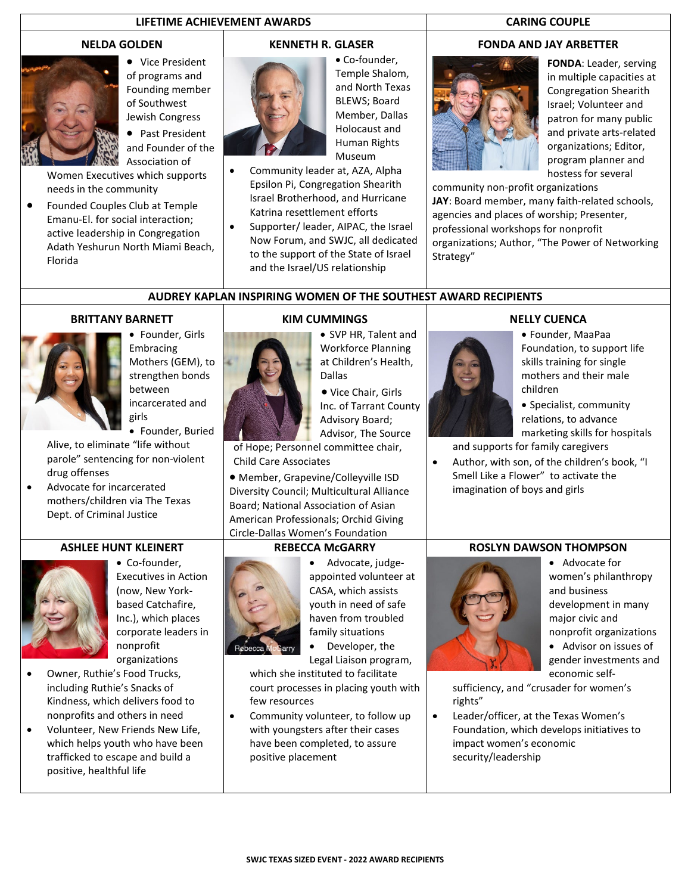## **LIFETIME ACHIEVEMENT AWARDS CARING COUPLE**

#### **NELDA GOLDEN**



• Vice President of programs and Founding member of Southwest Jewish Congress

• Past President and Founder of the Association of

Women Executives which supports needs in the community

• Founded Couples Club at Temple Emanu-El. for social interaction; active leadership in Congregation Adath Yeshurun North Miami Beach, Florida

## **KENNETH R. GLASER**



• Co-founder, Temple Shalom, and North Texas BLEWS; Board Member, Dallas Holocaust and Human Rights Museum

- Community leader at, AZA, Alpha Epsilon Pi, Congregation Shearith Israel Brotherhood, and Hurricane Katrina resettlement efforts
- Supporter/ leader, AIPAC, the Israel Now Forum, and SWJC, all dedicated to the support of the State of Israel and the Israel/US relationship

### **FONDA AND JAY ARBETTER**



**FONDA**: Leader, serving in multiple capacities at Congregation Shearith Israel; Volunteer and patron for many public and private arts-related organizations; Editor, program planner and hostess for several

community non-profit organizations **JAY**: Board member, many faith-related schools, agencies and places of worship; Presenter, professional workshops for nonprofit organizations; Author, "The Power of Networking Strategy"

**AUDREY KAPLAN INSPIRING WOMEN OF THE SOUTHEST AWARD RECIPIENTS**

#### **BRITTANY BARNETT**



• Founder, Girls Embracing Mothers (GEM), to strengthen bonds between incarcerated and girls

• Founder, Buried

Alive, to eliminate "life without parole" sentencing for non-violent drug offenses

• Advocate for incarcerated mothers/children via The Texas Dept. of Criminal Justice

### **ASHLEE HUNT KLEINERT**



- Co-founder, Executives in Action (now, New Yorkbased Catchafire, Inc.), which places corporate leaders in nonprofit organizations
- Owner, Ruthie's Food Trucks, including Ruthie's Snacks of Kindness, which delivers food to nonprofits and others in need
- Volunteer, New Friends New Life, which helps youth who have been trafficked to escape and build a positive, healthful life



## **KIM CUMMINGS**

• SVP HR, Talent and Workforce Planning at Children's Health, Dallas

• Vice Chair, Girls Inc. of Tarrant County Advisory Board; Advisor, The Source

of Hope; Personnel committee chair, Child Care Associates

• Member, Grapevine/Colleyville ISD Diversity Council; Multicultural Alliance Board; National Association of Asian American Professionals; Orchid Giving Circle-Dallas Women's Foundation

### **REBECCA McGARRY**



• Advocate, judgeappointed volunteer at CASA, which assists youth in need of safe haven from troubled family situations

• Developer, the Legal Liaison program,

which she instituted to facilitate court processes in placing youth with few resources

Community volunteer, to follow up with youngsters after their cases have been completed, to assure positive placement

## **NELLY CUENCA**



• Founder, MaaPaa Foundation, to support life skills training for single mothers and their male children

• Specialist, community relations, to advance marketing skills for hospitals

and supports for family caregivers

• Author, with son, of the children's book, "I Smell Like a Flower" to activate the imagination of boys and girls

# **ROSLYN DAWSON THOMPSON**



• Advocate for women's philanthropy and business development in many major civic and nonprofit organizations

• Advisor on issues of gender investments and economic self-

sufficiency, and "crusader for women's rights"

• Leader/officer, at the Texas Women's Foundation, which develops initiatives to impact women's economic security/leadership